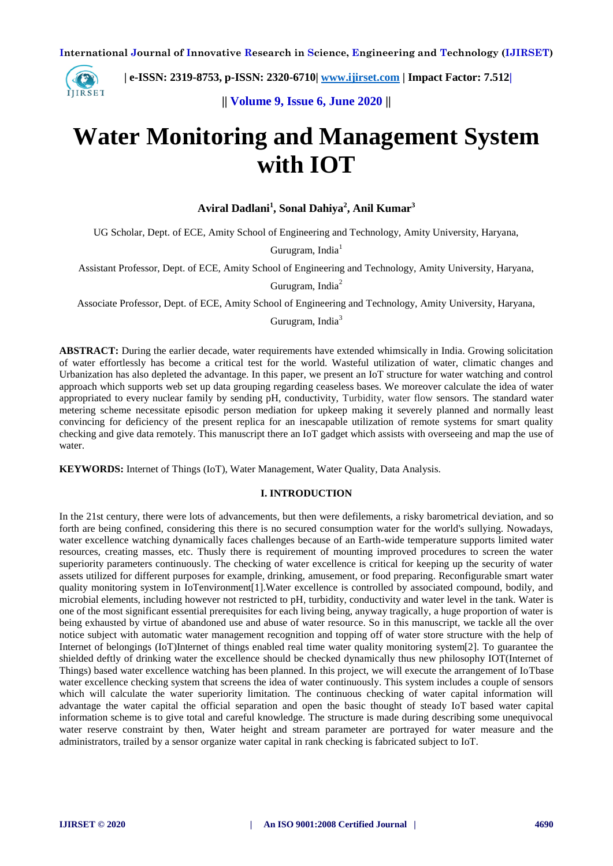

 **| e-ISSN: 2319-8753, p-ISSN: 2320-6710| [www.ijirset.com](http://www.ijirset.com/) | Impact Factor: 7.512|**

**|| Volume 9, Issue 6, June 2020 ||** 

# **Water Monitoring and Management System with IOT**

**Aviral Dadlani<sup>1</sup> , Sonal Dahiya<sup>2</sup> , Anil Kumar<sup>3</sup>**

UG Scholar, Dept. of ECE, Amity School of Engineering and Technology, Amity University, Haryana,

Gurugram, India<sup>1</sup>

Assistant Professor, Dept. of ECE, Amity School of Engineering and Technology, Amity University, Haryana,

Gurugram, India<sup>2</sup>

Associate Professor, Dept. of ECE, Amity School of Engineering and Technology, Amity University, Haryana,

Gurugram, India<sup>3</sup>

**ABSTRACT:** During the earlier decade, water requirements have extended whimsically in India. Growing solicitation of water effortlessly has become a critical test for the world. Wasteful utilization of water, climatic changes and Urbanization has also depleted the advantage. In this paper, we present an IoT structure for water watching and control approach which supports web set up data grouping regarding ceaseless bases. We moreover calculate the idea of water appropriated to every nuclear family by sending pH, conductivity, Turbidity, water flow sensors. The standard water metering scheme necessitate episodic person mediation for upkeep making it severely planned and normally least convincing for deficiency of the present replica for an inescapable utilization of remote systems for smart quality checking and give data remotely. This manuscript there an IoT gadget which assists with overseeing and map the use of water.

**KEYWORDS:** Internet of Things (IoT), Water Management, Water Quality, Data Analysis.

#### **I. INTRODUCTION**

In the 21st century, there were lots of advancements, but then were defilements, a risky barometrical deviation, and so forth are being confined, considering this there is no secured consumption water for the world's sullying. Nowadays, water excellence watching dynamically faces challenges because of an Earth-wide temperature supports limited water resources, creating masses, etc. Thusly there is requirement of mounting improved procedures to screen the water superiority parameters continuously. The checking of water excellence is critical for keeping up the security of water assets utilized for different purposes for example, drinking, amusement, or food preparing. Reconfigurable smart water quality monitoring system in IoTenvironment[1].Water excellence is controlled by associated compound, bodily, and microbial elements, including however not restricted to pH, turbidity, conductivity and water level in the tank. Water is one of the most significant essential prerequisites for each living being, anyway tragically, a huge proportion of water is being exhausted by virtue of abandoned use and abuse of water resource. So in this manuscript, we tackle all the over notice subject with automatic water management recognition and topping off of water store structure with the help of Internet of belongings (IoT)Internet of things enabled real time water quality monitoring system[2]. To guarantee the shielded deftly of drinking water the excellence should be checked dynamically thus new philosophy IOT(Internet of Things) based water excellence watching has been planned. In this project, we will execute the arrangement of IoTbase water excellence checking system that screens the idea of water continuously. This system includes a couple of sensors which will calculate the water superiority limitation. The continuous checking of water capital information will advantage the water capital the official separation and open the basic thought of steady IoT-based water capital information scheme is to give total and careful knowledge. The structure is made during describing some unequivocal water reserve constraint by then, Water height and stream parameter are portrayed for water measure and the administrators, trailed by a sensor organize water capital in rank checking is fabricated subject to IoT.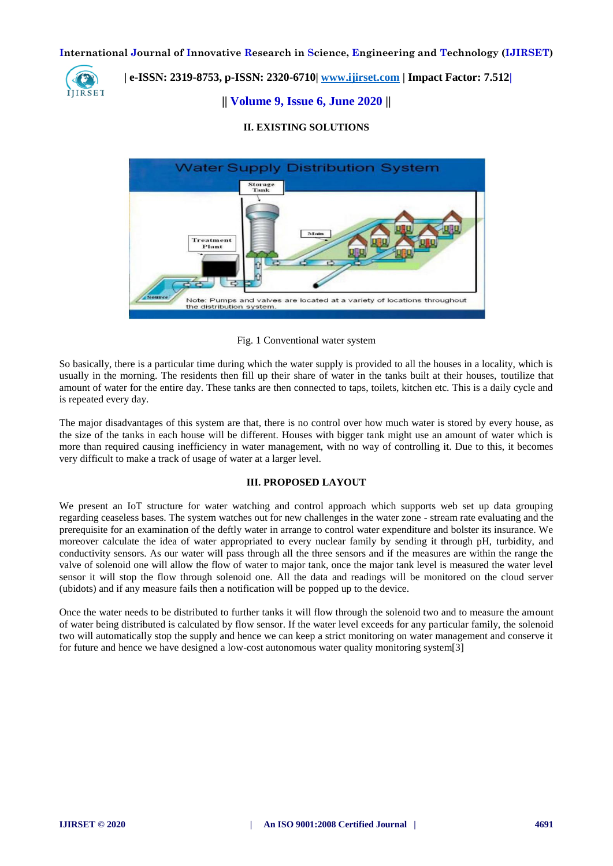

# **| e-ISSN: 2319-8753, p-ISSN: 2320-6710| [www.ijirset.com](http://www.ijirset.com/) | Impact Factor: 7.512|**

# **|| Volume 9, Issue 6, June 2020 ||**

# **II. EXISTING SOLUTIONS**



Fig. 1 Conventional water system

So basically, there is a particular time during which the water supply is provided to all the houses in a locality, which is usually in the morning. The residents then fill up their share of water in the tanks built at their houses, toutilize that amount of water for the entire day. These tanks are then connected to taps, toilets, kitchen etc. This is a daily cycle and is repeated every day.

The major disadvantages of this system are that, there is no control over how much water is stored by every house, as the size of the tanks in each house will be different. Houses with bigger tank might use an amount of water which is more than required causing inefficiency in water management, with no way of controlling it. Due to this, it becomes very difficult to make a track of usage of water at a larger level.

# **III. PROPOSED LAYOUT**

We present an IoT structure for water watching and control approach which supports web set up data grouping regarding ceaseless bases. The system watches out for new challenges in the water zone - stream rate evaluating and the prerequisite for an examination of the deftly water in arrange to control water expenditure and bolster its insurance. We moreover calculate the idea of water appropriated to every nuclear family by sending it through pH, turbidity, and conductivity sensors. As our water will pass through all the three sensors and if the measures are within the range the valve of solenoid one will allow the flow of water to major tank, once the major tank level is measured the water level sensor it will stop the flow through solenoid one. All the data and readings will be monitored on the cloud server (ubidots) and if any measure fails then a notification will be popped up to the device.

Once the water needs to be distributed to further tanks it will flow through the solenoid two and to measure the amount of water being distributed is calculated by flow sensor. If the water level exceeds for any particular family, the solenoid two will automatically stop the supply and hence we can keep a strict monitoring on water management and conserve it for future and hence we have designed a low-cost autonomous water quality monitoring system[3]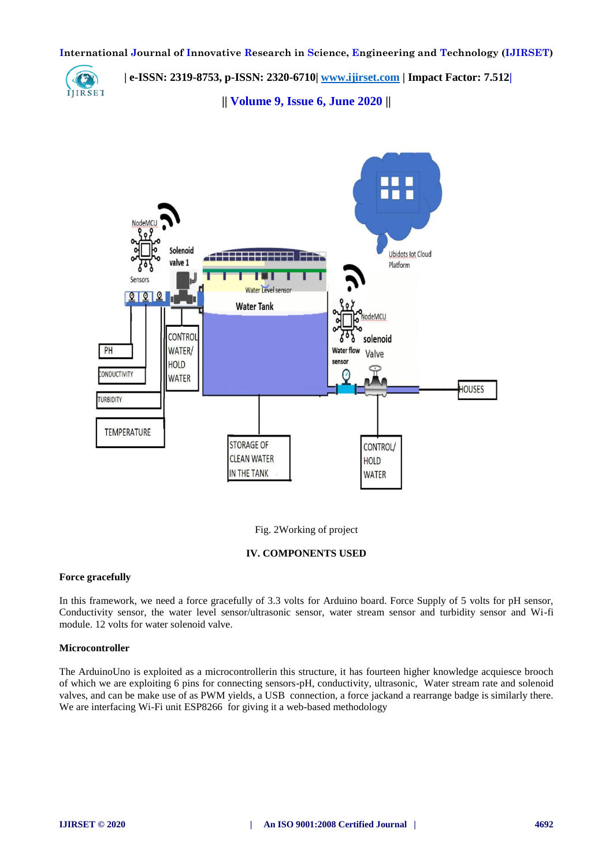

 **| e-ISSN: 2319-8753, p-ISSN: 2320-6710| [www.ijirset.com](http://www.ijirset.com/) | Impact Factor: 7.512|**

**|| Volume 9, Issue 6, June 2020 ||** 



Fig. 2Working of project

# **IV. COMPONENTS USED**

# **Force gracefully**

In this framework, we need a force gracefully of 3.3 volts for Arduino board. Force Supply of 5 volts for pH sensor, Conductivity sensor, the water level sensor/ultrasonic sensor, water stream sensor and turbidity sensor and Wi-fi module. 12 volts for water solenoid valve.

# **Microcontroller**

The ArduinoUno is exploited as a microcontrollerin this structure, it has fourteen higher knowledge acquiesce brooch of which we are exploiting 6 pins for connecting sensors-pH, conductivity, ultrasonic, Water stream rate and solenoid valves, and can be make use of as PWM yields, a USB connection, a force jackand a rearrange badge is similarly there. We are interfacing Wi-Fi unit ESP8266 for giving it a web-based methodology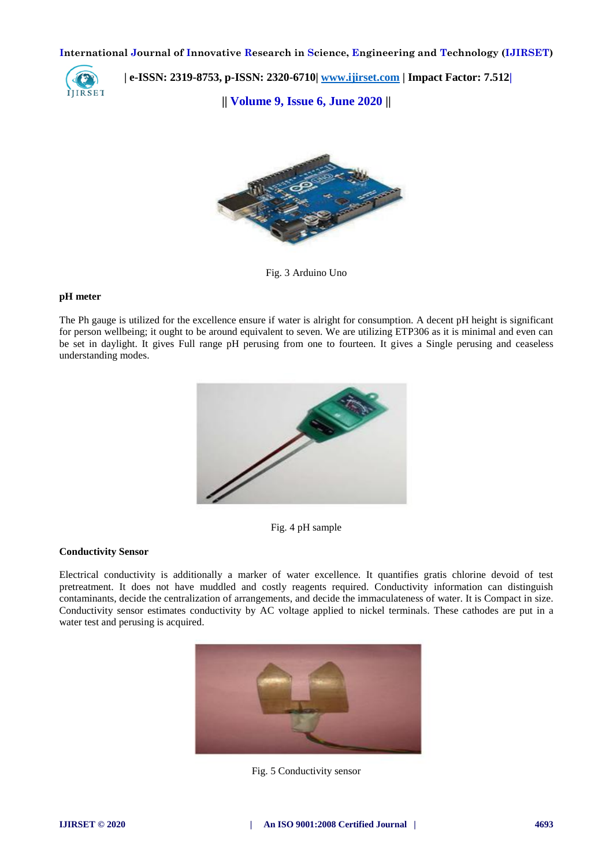

 **| e-ISSN: 2319-8753, p-ISSN: 2320-6710| [www.ijirset.com](http://www.ijirset.com/) | Impact Factor: 7.512|**

**|| Volume 9, Issue 6, June 2020 ||** 



Fig. 3 Arduino Uno

#### **pH meter**

The Ph gauge is utilized for the excellence ensure if water is alright for consumption. A decent pH height is significant for person wellbeing; it ought to be around equivalent to seven. We are utilizing ETP306 as it is minimal and even can be set in daylight. It gives Full range pH perusing from one to fourteen. It gives a Single perusing and ceaseless understanding modes.



Fig. 4 pH sample

# **Conductivity Sensor**

Electrical conductivity is additionally a marker of water excellence. It quantifies gratis chlorine devoid of test pretreatment. It does not have muddled and costly reagents required. Conductivity information can distinguish contaminants, decide the centralization of arrangements, and decide the immaculateness of water. It is Compact in size. Conductivity sensor estimates conductivity by AC voltage applied to nickel terminals. These cathodes are put in a water test and perusing is acquired.



Fig. 5 Conductivity sensor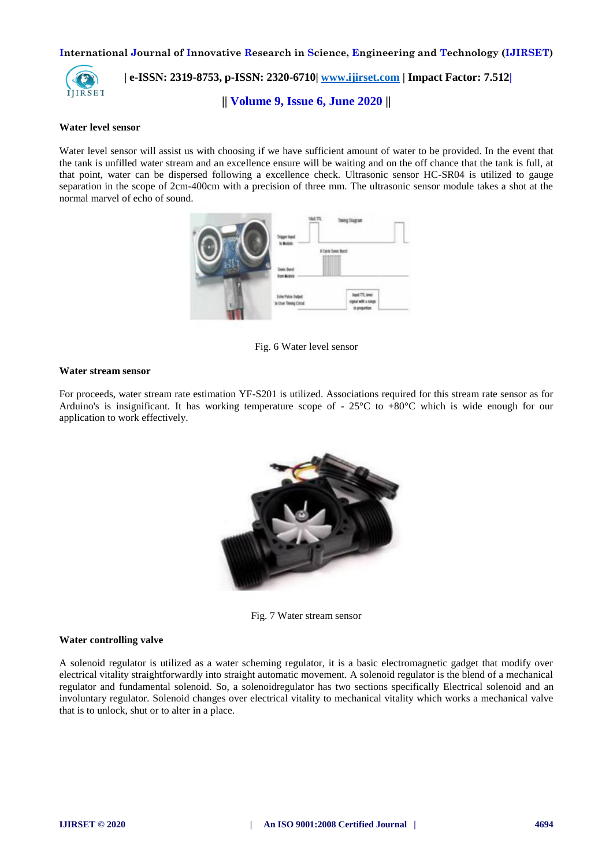

# **| e-ISSN: 2319-8753, p-ISSN: 2320-6710| [www.ijirset.com](http://www.ijirset.com/) | Impact Factor: 7.512|**

**|| Volume 9, Issue 6, June 2020 ||** 

#### **Water level sensor**

Water level sensor will assist us with choosing if we have sufficient amount of water to be provided. In the event that the tank is unfilled water stream and an excellence ensure will be waiting and on the off chance that the tank is full, at that point, water can be dispersed following a excellence check. Ultrasonic sensor HC-SR04 is utilized to gauge separation in the scope of 2cm-400cm with a precision of three mm. The ultrasonic sensor module takes a shot at the normal marvel of echo of sound.



Fig. 6 Water level sensor

# **Water stream sensor**

For proceeds, water stream rate estimation YF-S201 is utilized. Associations required for this stream rate sensor as for Arduino's is insignificant. It has working temperature scope of - 25°C to +80°C which is wide enough for our application to work effectively.



Fig. 7 Water stream sensor

#### **Water controlling valve**

A solenoid regulator is utilized as a water scheming regulator, it is a basic electromagnetic gadget that modify over electrical vitality straightforwardly into straight automatic movement. A solenoid regulator is the blend of a mechanical regulator and fundamental solenoid. So, a solenoidregulator has two sections specifically Electrical solenoid and an involuntary regulator. Solenoid changes over electrical vitality to mechanical vitality which works a mechanical valve that is to unlock, shut or to alter in a place.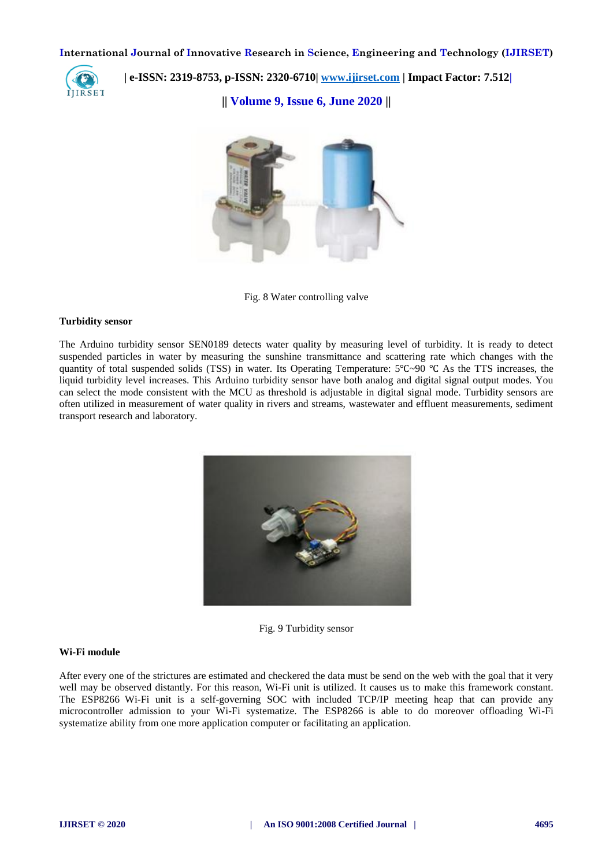

 **| e-ISSN: 2319-8753, p-ISSN: 2320-6710| [www.ijirset.com](http://www.ijirset.com/) | Impact Factor: 7.512|**

**|| Volume 9, Issue 6, June 2020 ||** 



Fig. 8 Water controlling valve

#### **Turbidity sensor**

The Arduino turbidity sensor SEN0189 detects water quality by measuring level of turbidity. It is ready to detect suspended particles in water by measuring the sunshine transmittance and scattering rate which changes with the quantity of total suspended solids (TSS) in water. Its Operating Temperature: 5℃~90 ℃ As the TTS increases, the liquid turbidity level increases. This Arduino turbidity sensor have both analog and digital signal output modes. You can select the mode consistent with the MCU as threshold is adjustable in digital signal mode. Turbidity sensors are often utilized in measurement of water quality in rivers and streams, wastewater and effluent measurements, sediment transport research and laboratory.



Fig. 9 Turbidity sensor

#### **Wi-Fi module**

After every one of the strictures are estimated and checkered the data must be send on the web with the goal that it very well may be observed distantly. For this reason, Wi-Fi unit is utilized. It causes us to make this framework constant. The ESP8266 Wi-Fi unit is a self-governing SOC with included TCP/IP meeting heap that can provide any microcontroller admission to your Wi-Fi systematize. The ESP8266 is able to do moreover offloading Wi-Fi systematize ability from one more application computer or facilitating an application.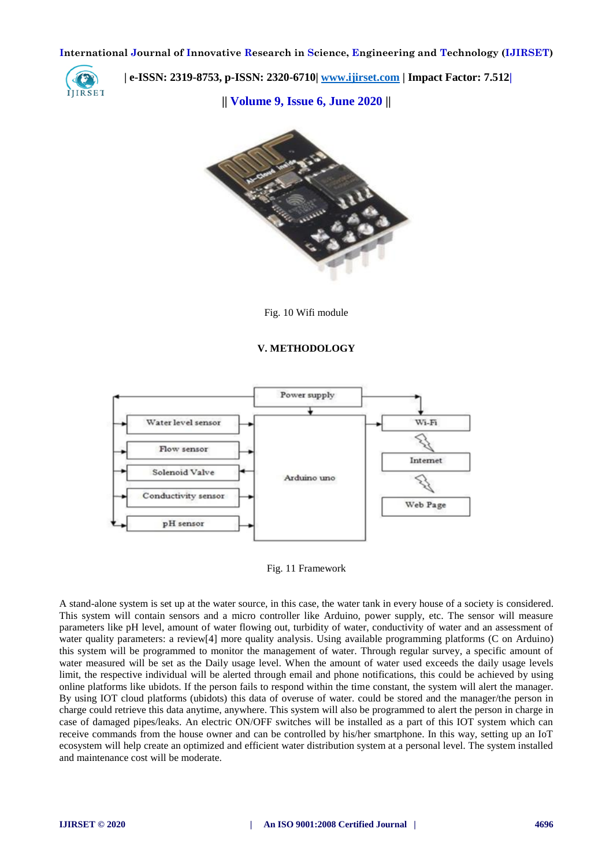

 **| e-ISSN: 2319-8753, p-ISSN: 2320-6710| [www.ijirset.com](http://www.ijirset.com/) | Impact Factor: 7.512|**

**|| Volume 9, Issue 6, June 2020 ||** 



Fig. 10 Wifi module

# **V. METHODOLOGY**



Fig. 11 Framework

A stand-alone system is set up at the water source, in this case, the water tank in every house of a society is considered. This system will contain sensors and a micro controller like Arduino, power supply, etc. The sensor will measure parameters like pH level, amount of water flowing out, turbidity of water, conductivity of water and an assessment of water quality parameters: a review[4] more quality analysis. Using available programming platforms (C on Arduino) this system will be programmed to monitor the management of water. Through regular survey, a specific amount of water measured will be set as the Daily usage level. When the amount of water used exceeds the daily usage levels limit, the respective individual will be alerted through email and phone notifications, this could be achieved by using online platforms like ubidots. If the person fails to respond within the time constant, the system will alert the manager. By using IOT cloud platforms (ubidots) this data of overuse of water. could be stored and the manager/the person in charge could retrieve this data anytime, anywhere. This system will also be programmed to alert the person in charge in case of damaged pipes/leaks. An electric ON/OFF switches will be installed as a part of this IOT system which can receive commands from the house owner and can be controlled by his/her smartphone. In this way, setting up an IoT ecosystem will help create an optimized and efficient water distribution system at a personal level. The system installed and maintenance cost will be moderate.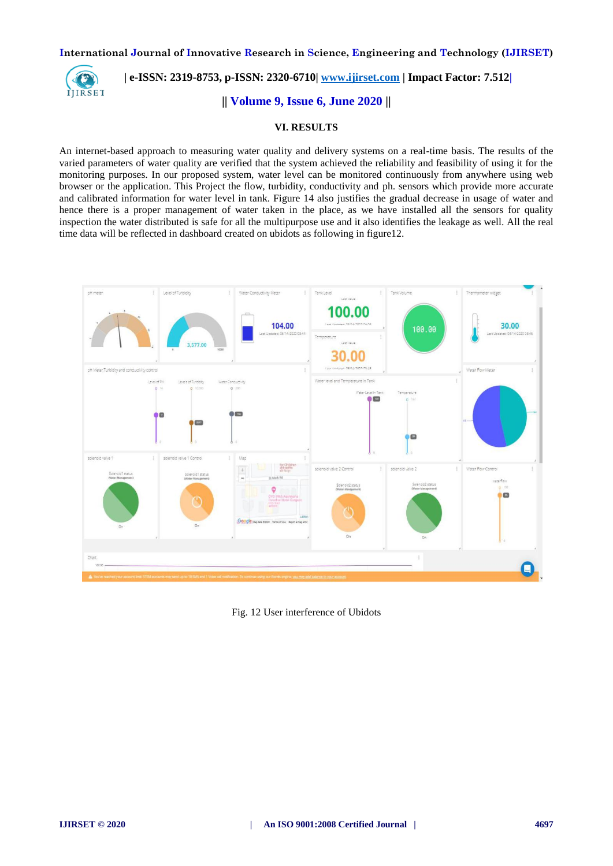

 **| e-ISSN: 2319-8753, p-ISSN: 2320-6710| [www.ijirset.com](http://www.ijirset.com/) | Impact Factor: 7.512|**

**|| Volume 9, Issue 6, June 2020 ||** 

# **VI. RESULTS**

An internet-based approach to measuring water quality and delivery systems on a real-time basis. The results of the varied parameters of water quality are verified that the system achieved the reliability and feasibility of using it for the monitoring purposes. In our proposed system, water level can be monitored continuously from anywhere using web browser or the application. This Project the flow, turbidity, conductivity and ph. sensors which provide more accurate and calibrated information for water level in tank. Figure 14 also justifies the gradual decrease in usage of water and hence there is a proper management of water taken in the place, as we have installed all the sensors for quality inspection the water distributed is safe for all the multipurpose use and it also identifies the leakage as well. All the real time data will be reflected in dashboard created on ubidots as following in figure12.



Fig. 12 User interference of Ubidots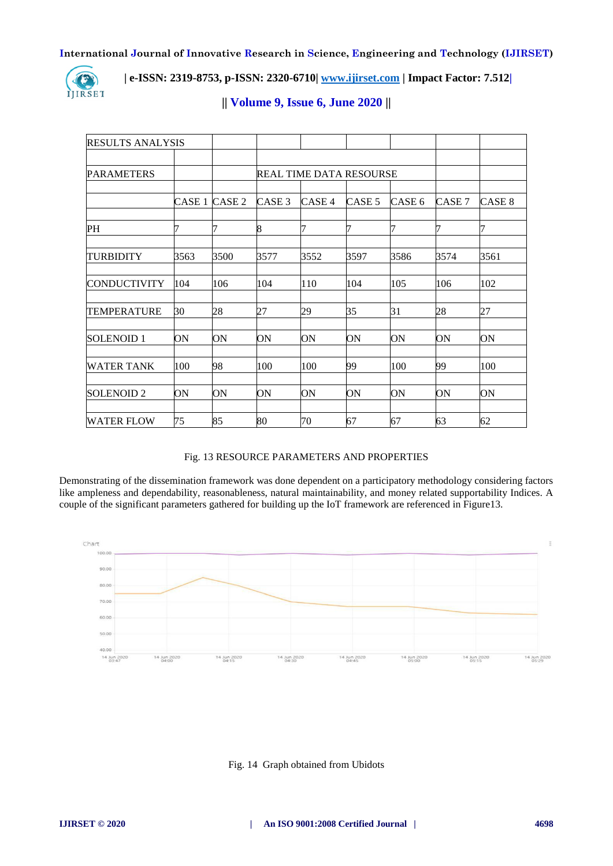

# **| e-ISSN: 2319-8753, p-ISSN: 2320-6710| [www.ijirset.com](http://www.ijirset.com/) | Impact Factor: 7.512|**

| <b>RESULTS ANALYSIS</b> |        |                   |                                |        |        |                   |        |                   |
|-------------------------|--------|-------------------|--------------------------------|--------|--------|-------------------|--------|-------------------|
|                         |        |                   |                                |        |        |                   |        |                   |
| <b>PARAMETERS</b>       |        |                   | <b>REAL TIME DATA RESOURSE</b> |        |        |                   |        |                   |
|                         |        |                   |                                |        |        |                   |        |                   |
|                         | CASE 1 | CASE <sub>2</sub> | CASE <sub>3</sub>              | CASE 4 | CASE 5 | CASE <sub>6</sub> | CASE 7 | CASE <sub>8</sub> |
| PH                      |        |                   | 8                              | 7      | 7      | 7                 | 7      |                   |
|                         |        |                   |                                |        |        |                   |        |                   |
| <b>TURBIDITY</b>        | 3563   | 3500              | 3577                           | 3552   | 3597   | 3586              | 3574   | 3561              |
|                         |        |                   |                                |        |        |                   |        |                   |
| <b>CONDUCTIVITY</b>     | 104    | 106               | 104                            | 110    | 104    | 105               | 106    | 102               |
| <b>TEMPERATURE</b>      | 30     | 28                | 27                             | 29     | 35     | 31                | 28     | 27                |
| <b>SOLENOID1</b>        | ON     | ON                | ON                             | ON     | ON     | ON                | ON     | ON                |
| <b>WATER TANK</b>       | 100    | 98                | 100                            | 100    | 99     | 100               | 99     | 100               |
|                         |        |                   |                                |        |        |                   |        |                   |
| SOLENOID <sub>2</sub>   | ON     | ON                | ON                             | ON     | ON     | ON                | ON     | ON                |
| <b>WATER FLOW</b>       | 75     | 85                | 80                             | 70     | 67     | 67                | 63     | 62                |

# **|| Volume 9, Issue 6, June 2020 ||**

# Fig. 13 RESOURCE PARAMETERS AND PROPERTIES

Demonstrating of the dissemination framework was done dependent on a participatory methodology considering factors like ampleness and dependability, reasonableness, natural maintainability, and money related supportability Indices. A couple of the significant parameters gathered for building up the IoT framework are referenced in Figure13.



# Fig. 14 Graph obtained from Ubidots